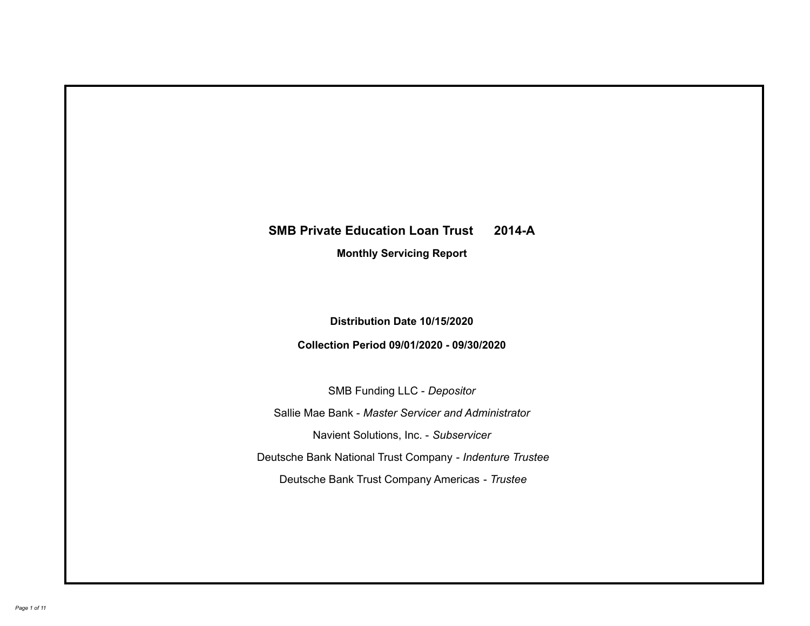# **SMB Private Education Loan Trust 2014-A Monthly Servicing Report**

# **Distribution Date 10/15/2020**

# **Collection Period 09/01/2020 - 09/30/2020**

SMB Funding LLC - *Depositor*

Sallie Mae Bank - *Master Servicer and Administrator*

Navient Solutions, Inc. - *Subservicer*

Deutsche Bank National Trust Company - *Indenture Trustee*

Deutsche Bank Trust Company Americas - *Trustee*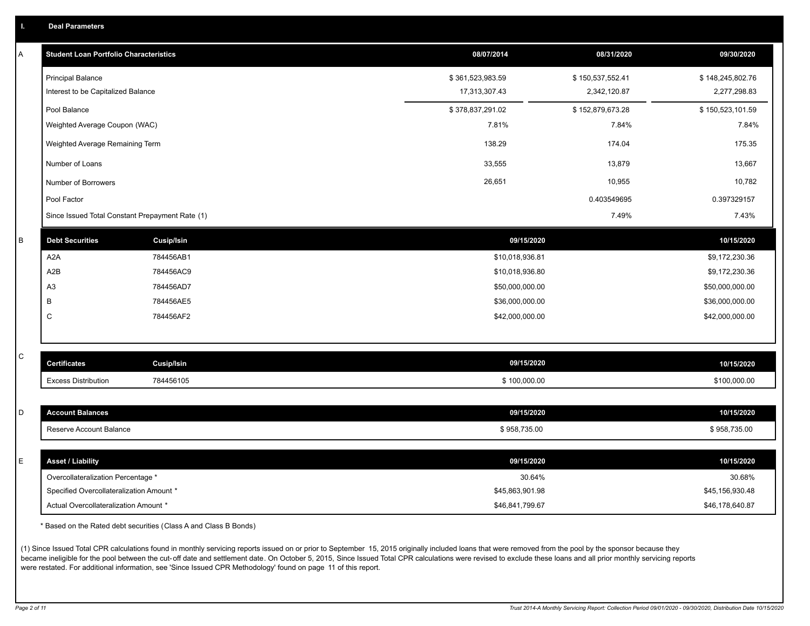| <b>Deal Parameters</b> |
|------------------------|
|------------------------|

| Α           | <b>Student Loan Portfolio Characteristics</b>   |                   | 08/07/2014       | 08/31/2020       | 09/30/2020       |
|-------------|-------------------------------------------------|-------------------|------------------|------------------|------------------|
|             | <b>Principal Balance</b>                        |                   | \$361,523,983.59 | \$150,537,552.41 | \$148,245,802.76 |
|             | Interest to be Capitalized Balance              |                   | 17,313,307.43    | 2,342,120.87     | 2,277,298.83     |
|             | Pool Balance                                    |                   | \$378,837,291.02 | \$152,879,673.28 | \$150,523,101.59 |
|             | Weighted Average Coupon (WAC)                   |                   | 7.81%            | 7.84%            | 7.84%            |
|             | Weighted Average Remaining Term                 |                   | 138.29           | 174.04           | 175.35           |
|             | Number of Loans                                 |                   | 33,555           | 13,879           | 13,667           |
|             | Number of Borrowers                             |                   | 26,651           | 10,955           | 10,782           |
|             | Pool Factor                                     |                   |                  | 0.403549695      | 0.397329157      |
|             | Since Issued Total Constant Prepayment Rate (1) |                   |                  | 7.49%            | 7.43%            |
| B           | <b>Debt Securities</b>                          | <b>Cusip/Isin</b> | 09/15/2020       |                  | 10/15/2020       |
|             | A <sub>2</sub> A                                | 784456AB1         | \$10,018,936.81  |                  | \$9,172,230.36   |
|             | A2B                                             | 784456AC9         | \$10,018,936.80  |                  | \$9,172,230.36   |
|             | A <sub>3</sub>                                  | 784456AD7         | \$50,000,000.00  |                  | \$50,000,000.00  |
|             | В                                               | 784456AE5         | \$36,000,000.00  |                  | \$36,000,000.00  |
|             | C                                               | 784456AF2         | \$42,000,000.00  |                  | \$42,000,000.00  |
|             |                                                 |                   |                  |                  |                  |
| $\mathsf C$ | <b>Certificates</b>                             | <b>Cusip/Isin</b> | 09/15/2020       |                  | 10/15/2020       |
|             | <b>Excess Distribution</b>                      | 784456105         | \$100,000.00     |                  | \$100,000.00     |
|             |                                                 |                   |                  |                  |                  |
| D           | <b>Account Balances</b>                         |                   | 09/15/2020       |                  | 10/15/2020       |
|             | Reserve Account Balance                         |                   | \$958,735.00     |                  | \$958,735.00     |
|             |                                                 |                   |                  |                  |                  |
| E           | <b>Asset / Liability</b>                        |                   | 09/15/2020       |                  | 10/15/2020       |
|             | Overcollateralization Percentage *              |                   | 30.64%           |                  | 30.68%           |
|             | Specified Overcollateralization Amount *        |                   | \$45,863,901.98  |                  | \$45,156,930.48  |
|             | Actual Overcollateralization Amount *           |                   | \$46.841.799.67  |                  | \$46,178,640.87  |

\* Based on the Rated debt securities (Class A and Class B Bonds)

(1) Since Issued Total CPR calculations found in monthly servicing reports issued on or prior to September 15, 2015 originally included loans that were removed from the pool by the sponsor because they became ineligible for the pool between the cut-off date and settlement date. On October 5, 2015, Since Issued Total CPR calculations were revised to exclude these loans and all prior monthly servicing reports were restated. For additional information, see 'Since Issued CPR Methodology' found on page 11 of this report.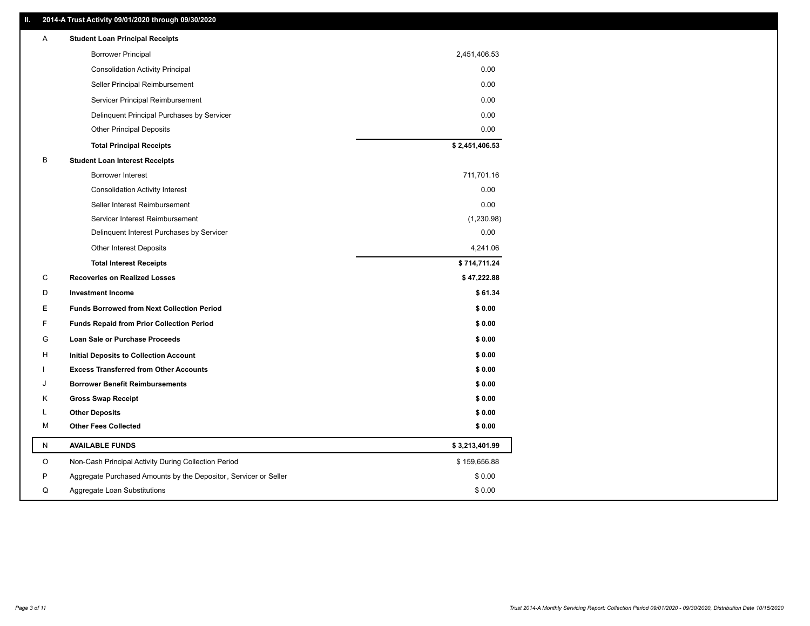### **II. 2014-A Trust Activity 09/01/2020 through 09/30/2020**

| Α           | <b>Student Loan Principal Receipts</b>                           |                |
|-------------|------------------------------------------------------------------|----------------|
|             | <b>Borrower Principal</b>                                        | 2,451,406.53   |
|             | <b>Consolidation Activity Principal</b>                          | 0.00           |
|             | Seller Principal Reimbursement                                   | 0.00           |
|             | Servicer Principal Reimbursement                                 | 0.00           |
|             | Delinquent Principal Purchases by Servicer                       | 0.00           |
|             | <b>Other Principal Deposits</b>                                  | 0.00           |
|             | <b>Total Principal Receipts</b>                                  | \$2,451,406.53 |
| В           | <b>Student Loan Interest Receipts</b>                            |                |
|             | Borrower Interest                                                | 711,701.16     |
|             | <b>Consolidation Activity Interest</b>                           | 0.00           |
|             | Seller Interest Reimbursement                                    | 0.00           |
|             | Servicer Interest Reimbursement                                  | (1,230.98)     |
|             | Delinquent Interest Purchases by Servicer                        | 0.00           |
|             | Other Interest Deposits                                          | 4,241.06       |
|             | <b>Total Interest Receipts</b>                                   | \$714,711.24   |
| C           | <b>Recoveries on Realized Losses</b>                             | \$47,222.88    |
| D           | <b>Investment Income</b>                                         | \$61.34        |
| Е           | <b>Funds Borrowed from Next Collection Period</b>                | \$0.00         |
| F           | <b>Funds Repaid from Prior Collection Period</b>                 | \$0.00         |
| G           | Loan Sale or Purchase Proceeds                                   | \$0.00         |
| H           | <b>Initial Deposits to Collection Account</b>                    | \$0.00         |
|             | <b>Excess Transferred from Other Accounts</b>                    | \$0.00         |
| J           | <b>Borrower Benefit Reimbursements</b>                           | \$0.00         |
| Κ           | <b>Gross Swap Receipt</b>                                        | \$0.00         |
| L           | <b>Other Deposits</b>                                            | \$0.00         |
| М           | <b>Other Fees Collected</b>                                      | \$0.00         |
| ${\sf N}$   | <b>AVAILABLE FUNDS</b>                                           | \$3,213,401.99 |
| $\mathsf O$ | Non-Cash Principal Activity During Collection Period             | \$159,656.88   |
| P           | Aggregate Purchased Amounts by the Depositor, Servicer or Seller | \$0.00         |
| Q           | Aggregate Loan Substitutions                                     | \$0.00         |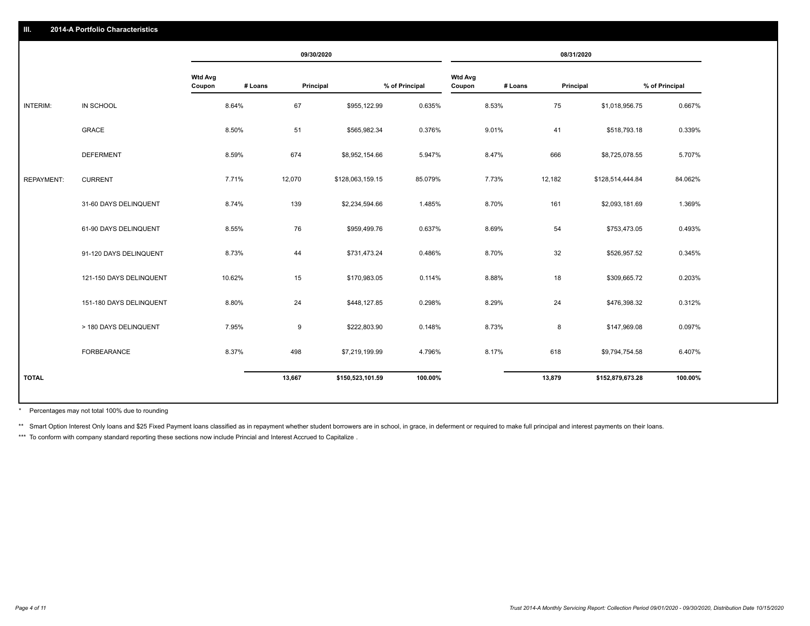|                   |                         |                          |         | 09/30/2020 |                  |                |                          |         | 08/31/2020 |                  |                |
|-------------------|-------------------------|--------------------------|---------|------------|------------------|----------------|--------------------------|---------|------------|------------------|----------------|
|                   |                         | <b>Wtd Avg</b><br>Coupon | # Loans | Principal  |                  | % of Principal | <b>Wtd Avg</b><br>Coupon | # Loans | Principal  |                  | % of Principal |
| <b>INTERIM:</b>   | IN SCHOOL               | 8.64%                    |         | 67         | \$955,122.99     | 0.635%         |                          | 8.53%   | 75         | \$1,018,956.75   | 0.667%         |
|                   | <b>GRACE</b>            | 8.50%                    |         | 51         | \$565,982.34     | 0.376%         |                          | 9.01%   | 41         | \$518,793.18     | 0.339%         |
|                   | <b>DEFERMENT</b>        | 8.59%                    |         | 674        | \$8,952,154.66   | 5.947%         |                          | 8.47%   | 666        | \$8,725,078.55   | 5.707%         |
| <b>REPAYMENT:</b> | <b>CURRENT</b>          | 7.71%                    |         | 12,070     | \$128,063,159.15 | 85.079%        |                          | 7.73%   | 12,182     | \$128,514,444.84 | 84.062%        |
|                   | 31-60 DAYS DELINQUENT   | 8.74%                    |         | 139        | \$2,234,594.66   | 1.485%         |                          | 8.70%   | 161        | \$2,093,181.69   | 1.369%         |
|                   | 61-90 DAYS DELINQUENT   | 8.55%                    |         | 76         | \$959,499.76     | 0.637%         |                          | 8.69%   | 54         | \$753,473.05     | 0.493%         |
|                   | 91-120 DAYS DELINQUENT  | 8.73%                    |         | 44         | \$731,473.24     | 0.486%         |                          | 8.70%   | 32         | \$526,957.52     | 0.345%         |
|                   | 121-150 DAYS DELINQUENT | 10.62%                   |         | 15         | \$170,983.05     | 0.114%         |                          | 8.88%   | 18         | \$309,665.72     | 0.203%         |
|                   | 151-180 DAYS DELINQUENT | 8.80%                    |         | 24         | \$448,127.85     | 0.298%         |                          | 8.29%   | 24         | \$476,398.32     | 0.312%         |
|                   | > 180 DAYS DELINQUENT   | 7.95%                    |         | 9          | \$222,803.90     | 0.148%         |                          | 8.73%   | 8          | \$147,969.08     | 0.097%         |
|                   | FORBEARANCE             | 8.37%                    |         | 498        | \$7,219,199.99   | 4.796%         |                          | 8.17%   | 618        | \$9,794,754.58   | 6.407%         |
| <b>TOTAL</b>      |                         |                          |         | 13,667     | \$150,523,101.59 | 100.00%        |                          |         | 13,879     | \$152,879,673.28 | 100.00%        |
|                   |                         |                          |         |            |                  |                |                          |         |            |                  |                |

Percentages may not total 100% due to rounding \*

\*\* Smart Option Interest Only loans and \$25 Fixed Payment loans classified as in repayment whether student borrowers are in school, in grace, in deferment or required to make full principal and interest payments on their l

\*\*\* To conform with company standard reporting these sections now include Princial and Interest Accrued to Capitalize.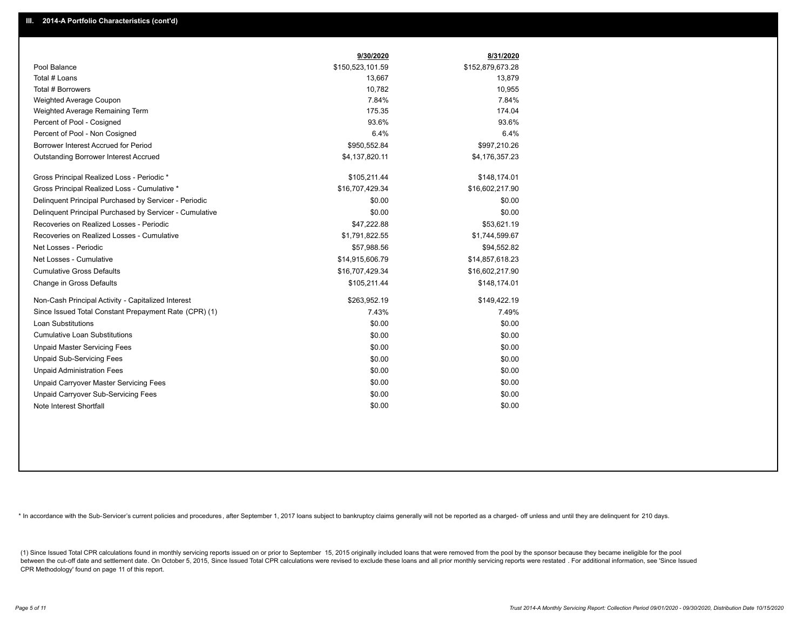|                                                         | 9/30/2020        | 8/31/2020        |
|---------------------------------------------------------|------------------|------------------|
| Pool Balance                                            | \$150,523,101.59 | \$152,879,673.28 |
| Total # Loans                                           | 13,667           | 13,879           |
| Total # Borrowers                                       | 10,782           | 10,955           |
| Weighted Average Coupon                                 | 7.84%            | 7.84%            |
| Weighted Average Remaining Term                         | 175.35           | 174.04           |
| Percent of Pool - Cosigned                              | 93.6%            | 93.6%            |
| Percent of Pool - Non Cosigned                          | 6.4%             | 6.4%             |
| Borrower Interest Accrued for Period                    | \$950,552.84     | \$997,210.26     |
| Outstanding Borrower Interest Accrued                   | \$4,137,820.11   | \$4,176,357.23   |
| Gross Principal Realized Loss - Periodic *              | \$105,211.44     | \$148,174.01     |
| Gross Principal Realized Loss - Cumulative *            | \$16,707,429.34  | \$16,602,217.90  |
| Delinquent Principal Purchased by Servicer - Periodic   | \$0.00           | \$0.00           |
| Delinquent Principal Purchased by Servicer - Cumulative | \$0.00           | \$0.00           |
| Recoveries on Realized Losses - Periodic                | \$47,222.88      | \$53,621.19      |
| Recoveries on Realized Losses - Cumulative              | \$1,791,822.55   | \$1,744,599.67   |
| Net Losses - Periodic                                   | \$57,988.56      | \$94,552.82      |
| Net Losses - Cumulative                                 | \$14,915,606.79  | \$14,857,618.23  |
| <b>Cumulative Gross Defaults</b>                        | \$16,707,429.34  | \$16,602,217.90  |
| Change in Gross Defaults                                | \$105,211.44     | \$148,174.01     |
| Non-Cash Principal Activity - Capitalized Interest      | \$263,952.19     | \$149,422.19     |
| Since Issued Total Constant Prepayment Rate (CPR) (1)   | 7.43%            | 7.49%            |
| Loan Substitutions                                      | \$0.00           | \$0.00           |
| <b>Cumulative Loan Substitutions</b>                    | \$0.00           | \$0.00           |
| <b>Unpaid Master Servicing Fees</b>                     | \$0.00           | \$0.00           |
| <b>Unpaid Sub-Servicing Fees</b>                        | \$0.00           | \$0.00           |
| <b>Unpaid Administration Fees</b>                       | \$0.00           | \$0.00           |
| Unpaid Carryover Master Servicing Fees                  | \$0.00           | \$0.00           |
| Unpaid Carryover Sub-Servicing Fees                     | \$0.00           | \$0.00           |
| Note Interest Shortfall                                 | \$0.00           | \$0.00           |

\* In accordance with the Sub-Servicer's current policies and procedures, after September 1, 2017 loans subject to bankruptcy claims generally will not be reported as a charged- off unless and until they are delinquent for

(1) Since Issued Total CPR calculations found in monthly servicing reports issued on or prior to September 15, 2015 originally included loans that were removed from the pool by the sponsor because they became ineligible fo between the cut-off date and settlement date. On October 5, 2015, Since Issued Total CPR calculations were revised to exclude these loans and all prior monthly servicing reports were restated. For additional information, s CPR Methodology' found on page 11 of this report.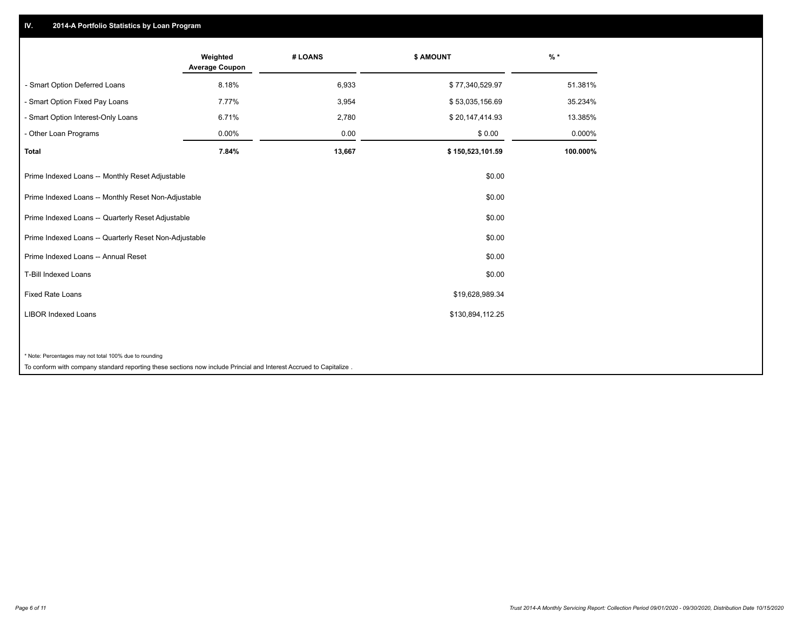## **IV. 2014-A Portfolio Statistics by Loan Program**

|                                                                                                                             | Weighted<br><b>Average Coupon</b> | # LOANS | \$ AMOUNT        | $%$ *    |
|-----------------------------------------------------------------------------------------------------------------------------|-----------------------------------|---------|------------------|----------|
| - Smart Option Deferred Loans                                                                                               | 8.18%                             | 6,933   | \$77,340,529.97  | 51.381%  |
| - Smart Option Fixed Pay Loans                                                                                              | 7.77%                             | 3,954   | \$53,035,156.69  | 35.234%  |
| - Smart Option Interest-Only Loans                                                                                          | 6.71%                             | 2,780   | \$20,147,414.93  | 13.385%  |
| - Other Loan Programs                                                                                                       | 0.00%                             | 0.00    | \$0.00           | 0.000%   |
| <b>Total</b>                                                                                                                | 7.84%                             | 13,667  | \$150,523,101.59 | 100.000% |
| Prime Indexed Loans -- Monthly Reset Adjustable                                                                             |                                   |         | \$0.00           |          |
| Prime Indexed Loans -- Monthly Reset Non-Adjustable                                                                         |                                   |         | \$0.00           |          |
| Prime Indexed Loans -- Quarterly Reset Adjustable                                                                           |                                   |         | \$0.00           |          |
| Prime Indexed Loans -- Quarterly Reset Non-Adjustable                                                                       |                                   |         | \$0.00           |          |
| Prime Indexed Loans -- Annual Reset                                                                                         |                                   |         | \$0.00           |          |
| T-Bill Indexed Loans                                                                                                        |                                   |         | \$0.00           |          |
| <b>Fixed Rate Loans</b>                                                                                                     |                                   |         | \$19,628,989.34  |          |
| <b>LIBOR Indexed Loans</b>                                                                                                  |                                   |         | \$130,894,112.25 |          |
|                                                                                                                             |                                   |         |                  |          |
| * Note: Percentages may not total 100% due to rounding                                                                      |                                   |         |                  |          |
| a configure contractors and all contractors and contractors are controlled to the following the contractors of the Marchael |                                   |         |                  |          |

To conform with company standard reporting these sections now include Princial and Interest Accrued to Capitalize .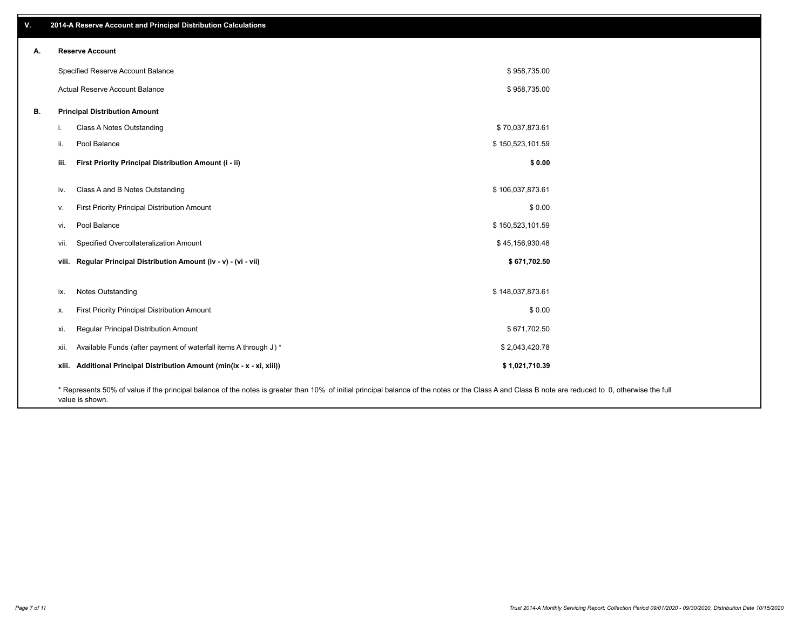| v. |                          | 2014-A Reserve Account and Principal Distribution Calculations                                                                                                                                     |                  |  |
|----|--------------------------|----------------------------------------------------------------------------------------------------------------------------------------------------------------------------------------------------|------------------|--|
| А. | <b>Reserve Account</b>   |                                                                                                                                                                                                    |                  |  |
|    |                          | Specified Reserve Account Balance                                                                                                                                                                  | \$958,735.00     |  |
|    |                          | Actual Reserve Account Balance                                                                                                                                                                     | \$958,735.00     |  |
| В. |                          | <b>Principal Distribution Amount</b>                                                                                                                                                               |                  |  |
|    | i.                       | Class A Notes Outstanding                                                                                                                                                                          | \$70,037,873.61  |  |
|    | Pool Balance<br>ii.      |                                                                                                                                                                                                    | \$150,523,101.59 |  |
|    | iii.                     | First Priority Principal Distribution Amount (i - ii)                                                                                                                                              | \$0.00           |  |
|    | iv.                      | Class A and B Notes Outstanding                                                                                                                                                                    | \$106,037,873.61 |  |
|    | v.                       | First Priority Principal Distribution Amount                                                                                                                                                       | \$0.00           |  |
|    | Pool Balance<br>vi.      |                                                                                                                                                                                                    | \$150,523,101.59 |  |
|    | vii.                     | Specified Overcollateralization Amount                                                                                                                                                             | \$45,156,930.48  |  |
|    |                          | viii. Regular Principal Distribution Amount (iv - v) - (vi - vii)                                                                                                                                  | \$671,702.50     |  |
|    |                          |                                                                                                                                                                                                    |                  |  |
|    | Notes Outstanding<br>ix. |                                                                                                                                                                                                    | \$148,037,873.61 |  |
|    | х.                       | First Priority Principal Distribution Amount                                                                                                                                                       | \$0.00           |  |
|    | xi.                      | Regular Principal Distribution Amount                                                                                                                                                              | \$671,702.50     |  |
|    | xii.                     | Available Funds (after payment of waterfall items A through J) *                                                                                                                                   | \$2,043,420.78   |  |
|    |                          | xiii. Additional Principal Distribution Amount (min(ix - x - xi, xiii))                                                                                                                            | \$1,021,710.39   |  |
|    |                          | * Represents 50% of value if the principal balance of the notes is greater than 10% of initial principal balance of the notes or the Class A and Class B note are reduced to 0, otherwise the full |                  |  |

value is shown.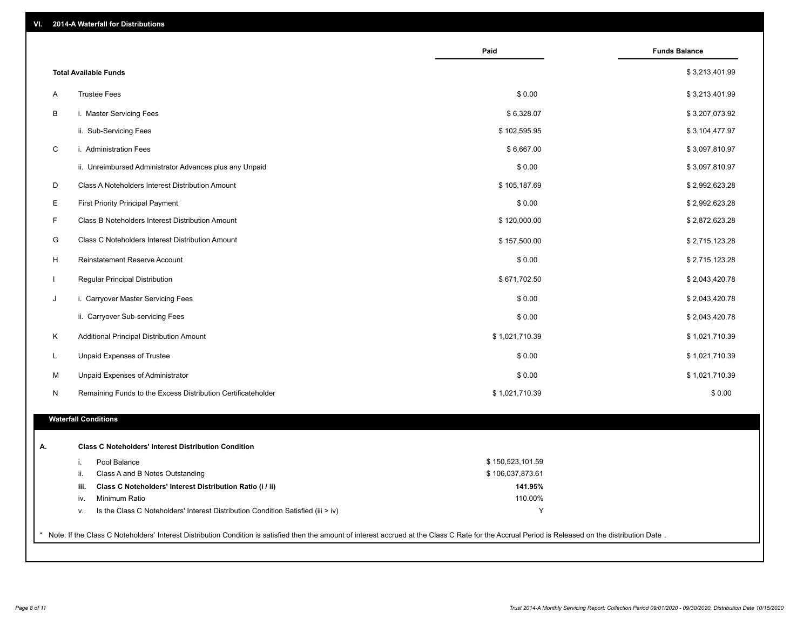|              |                                                                                                                                                                                                     | Paid             | <b>Funds Balance</b> |
|--------------|-----------------------------------------------------------------------------------------------------------------------------------------------------------------------------------------------------|------------------|----------------------|
|              | <b>Total Available Funds</b>                                                                                                                                                                        |                  | \$3,213,401.99       |
| Α            | <b>Trustee Fees</b>                                                                                                                                                                                 | \$0.00           | \$3,213,401.99       |
| В            | i. Master Servicing Fees                                                                                                                                                                            | \$6,328.07       | \$3,207,073.92       |
|              | ii. Sub-Servicing Fees                                                                                                                                                                              | \$102,595.95     | \$3,104,477.97       |
| C            | i. Administration Fees                                                                                                                                                                              | \$6,667.00       | \$3,097,810.97       |
|              | ii. Unreimbursed Administrator Advances plus any Unpaid                                                                                                                                             | \$0.00           | \$3,097,810.97       |
| D            | Class A Noteholders Interest Distribution Amount                                                                                                                                                    | \$105,187.69     | \$2,992,623.28       |
| Е            | <b>First Priority Principal Payment</b>                                                                                                                                                             | \$0.00           | \$2,992,623.28       |
| F.           | Class B Noteholders Interest Distribution Amount                                                                                                                                                    | \$120,000.00     | \$2,872,623.28       |
| G            | Class C Noteholders Interest Distribution Amount                                                                                                                                                    | \$157,500.00     | \$2,715,123.28       |
| H            | Reinstatement Reserve Account                                                                                                                                                                       | \$0.00           | \$2,715,123.28       |
| $\mathbf{I}$ | Regular Principal Distribution                                                                                                                                                                      | \$671,702.50     | \$2,043,420.78       |
| J            | i. Carryover Master Servicing Fees                                                                                                                                                                  | \$0.00           | \$2,043,420.78       |
|              | ii. Carryover Sub-servicing Fees                                                                                                                                                                    | \$0.00           | \$2,043,420.78       |
| Κ            | Additional Principal Distribution Amount                                                                                                                                                            | \$1,021,710.39   | \$1,021,710.39       |
| L            | Unpaid Expenses of Trustee                                                                                                                                                                          | \$0.00           | \$1,021,710.39       |
| M            | Unpaid Expenses of Administrator                                                                                                                                                                    | \$0.00           | \$1,021,710.39       |
| N            | Remaining Funds to the Excess Distribution Certificateholder                                                                                                                                        | \$1,021,710.39   | \$0.00               |
|              | <b>Waterfall Conditions</b>                                                                                                                                                                         |                  |                      |
|              |                                                                                                                                                                                                     |                  |                      |
| А.           | <b>Class C Noteholders' Interest Distribution Condition</b>                                                                                                                                         |                  |                      |
|              | Pool Balance<br>i.                                                                                                                                                                                  | \$150,523,101.59 |                      |
|              | Class A and B Notes Outstanding<br>ii.                                                                                                                                                              | \$106,037,873.61 |                      |
|              | Class C Noteholders' Interest Distribution Ratio (i / ii)<br>iii.                                                                                                                                   | 141.95%          |                      |
|              | Minimum Ratio<br>iv.                                                                                                                                                                                | 110.00%          |                      |
|              | Is the Class C Noteholders' Interest Distribution Condition Satisfied (iii > iv)<br>v.                                                                                                              | Y                |                      |
|              | Note: If the Class C Noteholders' Interest Distribution Condition is satisfied then the amount of interest accrued at the Class C Rate for the Accrual Period is Released on the distribution Date. |                  |                      |
|              |                                                                                                                                                                                                     |                  |                      |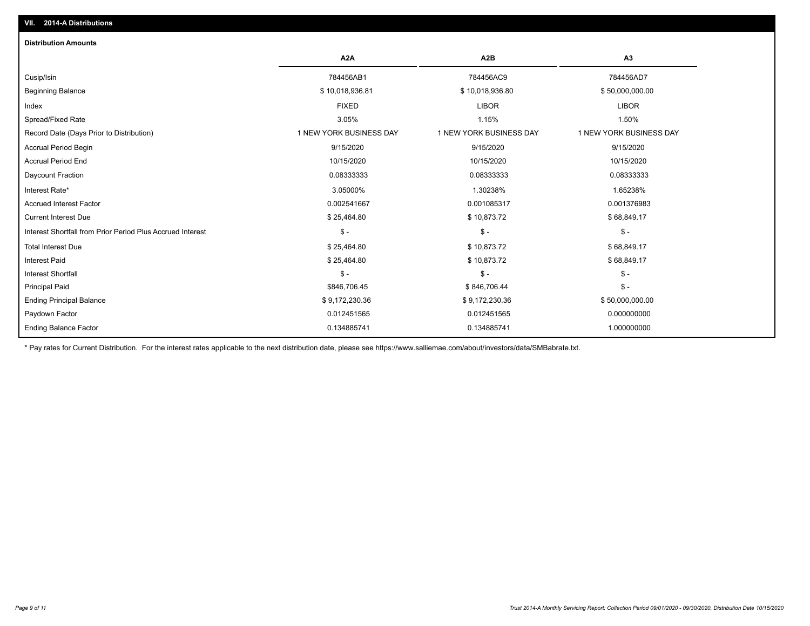| VII. 2014-A Distributions                                  |                         |                         |                         |
|------------------------------------------------------------|-------------------------|-------------------------|-------------------------|
| <b>Distribution Amounts</b>                                |                         |                         |                         |
|                                                            | A <sub>2</sub> A        | A2B                     | A3                      |
| Cusip/Isin                                                 | 784456AB1               | 784456AC9               | 784456AD7               |
| <b>Beginning Balance</b>                                   | \$10,018,936.81         | \$10,018,936.80         | \$50,000,000.00         |
| Index                                                      | <b>FIXED</b>            | <b>LIBOR</b>            | <b>LIBOR</b>            |
| Spread/Fixed Rate                                          | 3.05%                   | 1.15%                   | 1.50%                   |
| Record Date (Days Prior to Distribution)                   | 1 NEW YORK BUSINESS DAY | 1 NEW YORK BUSINESS DAY | 1 NEW YORK BUSINESS DAY |
| <b>Accrual Period Begin</b>                                | 9/15/2020               | 9/15/2020               | 9/15/2020               |
| <b>Accrual Period End</b>                                  | 10/15/2020              | 10/15/2020              | 10/15/2020              |
| Daycount Fraction                                          | 0.08333333              | 0.08333333              | 0.08333333              |
| Interest Rate*                                             | 3.05000%                | 1.30238%                | 1.65238%                |
| <b>Accrued Interest Factor</b>                             | 0.002541667             | 0.001085317             | 0.001376983             |
| <b>Current Interest Due</b>                                | \$25,464.80             | \$10,873.72             | \$68,849.17             |
| Interest Shortfall from Prior Period Plus Accrued Interest | $\mathsf{\$}$ -         | $\mathcal{S}$ -         | $$ -$                   |
| <b>Total Interest Due</b>                                  | \$25,464.80             | \$10,873.72             | \$68,849.17             |
| <b>Interest Paid</b>                                       | \$25,464.80             | \$10,873.72             | \$68,849.17             |
| <b>Interest Shortfall</b>                                  | $\mathsf{\$}$ -         | $\mathsf{\$}$ -         | $$ -$                   |
| <b>Principal Paid</b>                                      | \$846,706.45            | \$846,706.44            | $$ -$                   |
| <b>Ending Principal Balance</b>                            | \$9,172,230.36          | \$9,172,230.36          | \$50,000,000.00         |
| Paydown Factor                                             | 0.012451565             | 0.012451565             | 0.000000000             |
| <b>Ending Balance Factor</b>                               | 0.134885741             | 0.134885741             | 1.000000000             |

\* Pay rates for Current Distribution. For the interest rates applicable to the next distribution date, please see https://www.salliemae.com/about/investors/data/SMBabrate.txt.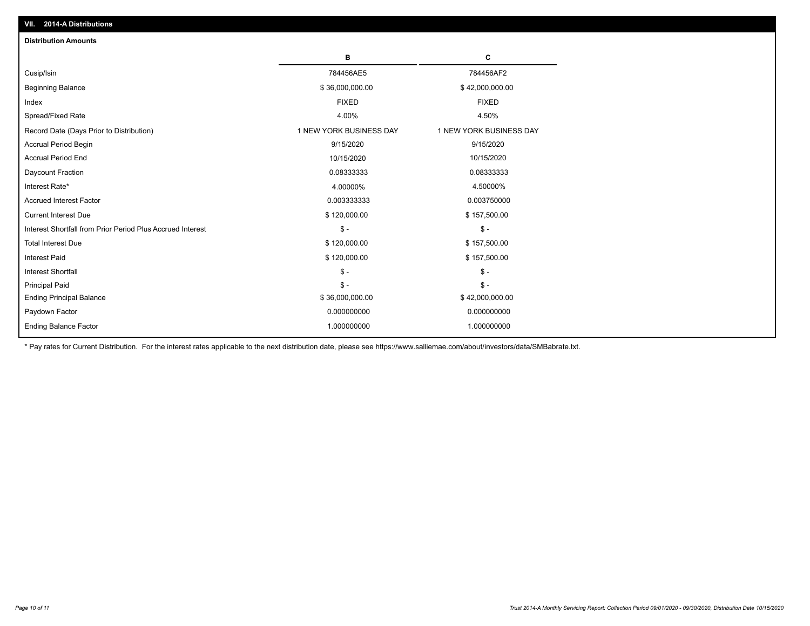| <b>Distribution Amounts</b>                                |                         |                         |
|------------------------------------------------------------|-------------------------|-------------------------|
|                                                            | в                       | C                       |
| Cusip/Isin                                                 | 784456AE5               | 784456AF2               |
| <b>Beginning Balance</b>                                   | \$36,000,000.00         | \$42,000,000.00         |
| Index                                                      | <b>FIXED</b>            | <b>FIXED</b>            |
| Spread/Fixed Rate                                          | 4.00%                   | 4.50%                   |
| Record Date (Days Prior to Distribution)                   | 1 NEW YORK BUSINESS DAY | 1 NEW YORK BUSINESS DAY |
| <b>Accrual Period Begin</b>                                | 9/15/2020               | 9/15/2020               |
| <b>Accrual Period End</b>                                  | 10/15/2020              | 10/15/2020              |
| Daycount Fraction                                          | 0.08333333              | 0.08333333              |
| Interest Rate*                                             | 4.00000%                | 4.50000%                |
| <b>Accrued Interest Factor</b>                             | 0.003333333             | 0.003750000             |
| <b>Current Interest Due</b>                                | \$120,000.00            | \$157,500.00            |
| Interest Shortfall from Prior Period Plus Accrued Interest | $\mathsf{\$}$ -         | $\frac{1}{2}$           |
| <b>Total Interest Due</b>                                  | \$120,000.00            | \$157,500.00            |
| <b>Interest Paid</b>                                       | \$120,000.00            | \$157,500.00            |
| <b>Interest Shortfall</b>                                  | $\mathcal{S}$ -         | $\frac{1}{2}$           |
| <b>Principal Paid</b>                                      | $\mathsf{\$}$ -         | $\mathsf{\$}$ -         |
| <b>Ending Principal Balance</b>                            | \$36,000,000.00         | \$42,000,000.00         |
| Paydown Factor                                             | 0.000000000             | 0.000000000             |
| <b>Ending Balance Factor</b>                               | 1.000000000             | 1.000000000             |

\* Pay rates for Current Distribution. For the interest rates applicable to the next distribution date, please see https://www.salliemae.com/about/investors/data/SMBabrate.txt.

**VII. 2014-A Distributions**